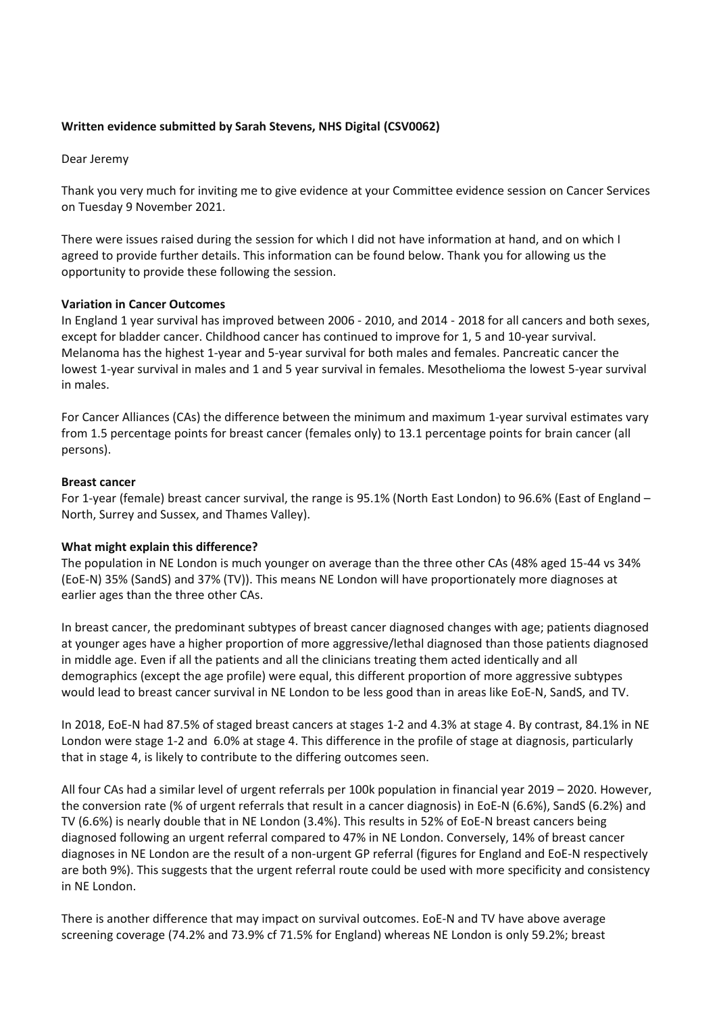# **Written evidence submitted by Sarah Stevens, NHS Digital (CSV0062)**

Dear Jeremy

Thank you very much for inviting me to give evidence at your Committee evidence session on Cancer Services on Tuesday 9 November 2021.

There were issues raised during the session for which I did not have information at hand, and on which I agreed to provide further details. This information can be found below. Thank you for allowing us the opportunity to provide these following the session.

# **Variation in Cancer Outcomes**

In England 1 year survival has improved between 2006 - 2010, and 2014 - 2018 for all cancers and both sexes, except for bladder cancer. Childhood cancer has continued to improve for 1, 5 and 10-year survival. Melanoma has the highest 1-year and 5-year survival for both males and females. Pancreatic cancer the lowest 1-year survival in males and 1 and 5 year survival in females. Mesothelioma the lowest 5-year survival in males.

For Cancer Alliances (CAs) the difference between the minimum and maximum 1-year survival estimates vary from 1.5 percentage points for breast cancer (females only) to 13.1 percentage points for brain cancer (all persons).

# **Breast cancer**

For 1-year (female) breast cancer survival, the range is 95.1% (North East London) to 96.6% (East of England – North, Surrey and Sussex, and Thames Valley).

# **What might explain this difference?**

The population in NE London is much younger on average than the three other CAs (48% aged 15-44 vs 34% (EoE-N) 35% (SandS) and 37% (TV)). This means NE London will have proportionately more diagnoses at earlier ages than the three other CAs.

In breast cancer, the predominant subtypes of breast cancer diagnosed changes with age; patients diagnosed at younger ages have a higher proportion of more aggressive/lethal diagnosed than those patients diagnosed in middle age. Even if all the patients and all the clinicians treating them acted identically and all demographics (except the age profile) were equal, this different proportion of more aggressive subtypes would lead to breast cancer survival in NE London to be less good than in areas like EoE-N, SandS, and TV.

In 2018, EoE-N had 87.5% of staged breast cancers at stages 1-2 and 4.3% at stage 4. By contrast, 84.1% in NE London were stage 1-2 and 6.0% at stage 4. This difference in the profile of stage at diagnosis, particularly that in stage 4, is likely to contribute to the differing outcomes seen.

All four CAs had a similar level of urgent referrals per 100k population in financial year 2019 – 2020. However, the conversion rate (% of urgent referrals that result in a cancer diagnosis) in EoE-N (6.6%), SandS (6.2%) and TV (6.6%) is nearly double that in NE London (3.4%). This results in 52% of EoE-N breast cancers being diagnosed following an urgent referral compared to 47% in NE London. Conversely, 14% of breast cancer diagnoses in NE London are the result of a non-urgent GP referral (figures for England and EoE-N respectively are both 9%). This suggests that the urgent referral route could be used with more specificity and consistency in NE London.

There is another difference that may impact on survival outcomes. EoE-N and TV have above average screening coverage (74.2% and 73.9% cf 71.5% for England) whereas NE London is only 59.2%; breast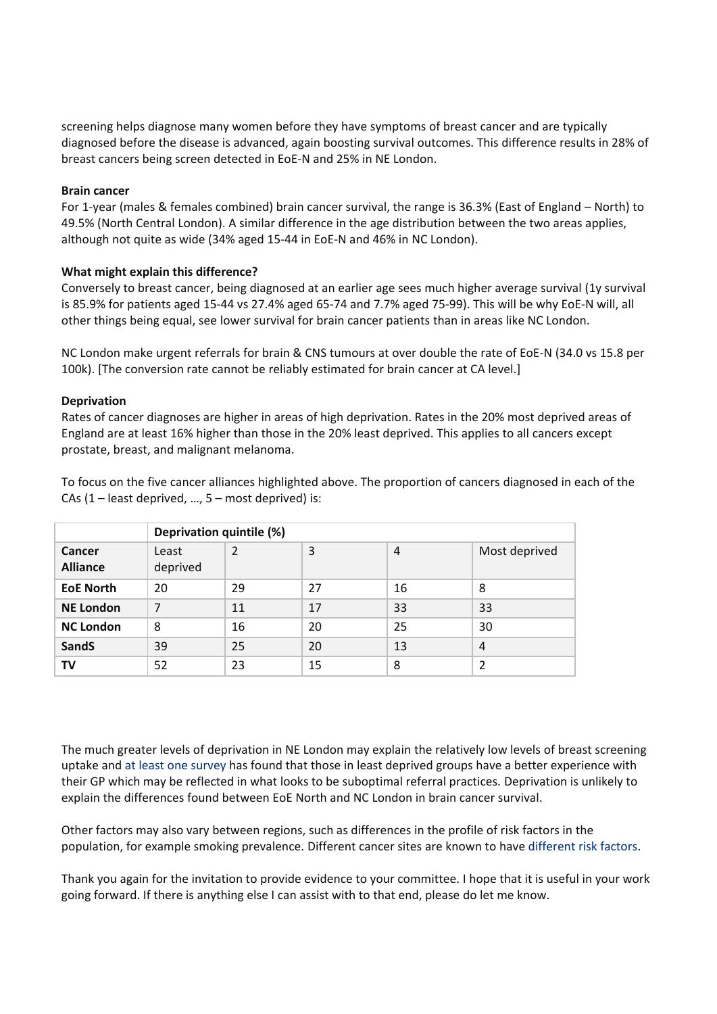screening helps diagnose many women before they have symptoms of breast cancer and are typically diagnosed before the disease is advanced, again boosting survival outcomes. This difference results in 28% of breast cancers being screen detected in EoE-N and 25% in NE London.

### **Brain cancer**

For 1-year (males & females combined) brain cancer survival, the range is 36.3% (East of England – North) to 49.5% (North Central London). A similar difference in the age distribution between the two areas applies, although not quite as wide (34% aged 15-44 in EoE-N and 46% in NC London).

# **What might explain this difference?**

Conversely to breast cancer, being diagnosed at an earlier age sees much higher average survival (1y survival is 85.9% for patients aged 15-44 vs 27.4% aged 65-74 and 7.7% aged 75-99). This will be why EoE-N will, all other things being equal, see lower survival for brain cancer patients than in areas like NC London.

NC London make urgent referrals for brain & CNS tumours at over double the rate of EoE-N (34.0 vs 15.8 per 100k). [The conversion rate cannot be reliably estimated for brain cancer at CA level.]

### **Deprivation**

Rates of cancer diagnoses are higher in areas of high deprivation. Rates in the 20% most deprived areas of England are at least 16% higher than those in the 20% least deprived. This applies to all cancers except prostate, breast, and malignant melanoma.

To focus on the five cancer alliances highlighted above. The proportion of cancers diagnosed in each of the CAs  $(1 -$  least deprived, ...,  $5 -$  most deprived) is:

|                           | Deprivation quintile (%) |    |    |                |               |
|---------------------------|--------------------------|----|----|----------------|---------------|
| Cancer<br><b>Alliance</b> | Least<br>deprived        | 2  | 3  | $\overline{4}$ | Most deprived |
| <b>EoE North</b>          | 20                       | 29 | 27 | 16             | 8             |
| <b>NE London</b>          | 7                        | 11 | 17 | 33             | 33            |
| <b>NC London</b>          | 8                        | 16 | 20 | 25             | 30            |
| <b>SandS</b>              | 39                       | 25 | 20 | 13             | 4             |
| TV                        | 52                       | 23 | 15 | 8              | 2             |

The much greater levels of deprivation in NE London may explain the relatively low levels of breast screening uptake and [at](https://eur01.safelinks.protection.outlook.com/?url=https%3A%2F%2Fwww.health.org.uk%2Fnews-and-comment%2Fcharts-and-infographics%2Fwho-gets-in&data=04%7C01%7CSarah.Stevens%40phe.gov.uk%7Cd7817e7f504c49ced18008d9a9192a04%7Cee4e14994a354b2ead475f3cf9de8666%7C0%7C0%7C637726747802406530%7CUnknown%7CTWFpbGZsb3d8eyJWIjoiMC4wLjAwMDAiLCJQIjoiV2luMzIiLCJBTiI6Ik1haWwiLCJXVCI6Mn0%3D%7C3000&sdata=vkRSXTR41OqkOz424Nz2rxJFf%2FKATvn7uFR%2Bsb%2Fz6Hs%3D&reserved=0) [least](https://eur01.safelinks.protection.outlook.com/?url=https%3A%2F%2Fwww.health.org.uk%2Fnews-and-comment%2Fcharts-and-infographics%2Fwho-gets-in&data=04%7C01%7CSarah.Stevens%40phe.gov.uk%7Cd7817e7f504c49ced18008d9a9192a04%7Cee4e14994a354b2ead475f3cf9de8666%7C0%7C0%7C637726747802406530%7CUnknown%7CTWFpbGZsb3d8eyJWIjoiMC4wLjAwMDAiLCJQIjoiV2luMzIiLCJBTiI6Ik1haWwiLCJXVCI6Mn0%3D%7C3000&sdata=vkRSXTR41OqkOz424Nz2rxJFf%2FKATvn7uFR%2Bsb%2Fz6Hs%3D&reserved=0) [one](https://eur01.safelinks.protection.outlook.com/?url=https%3A%2F%2Fwww.health.org.uk%2Fnews-and-comment%2Fcharts-and-infographics%2Fwho-gets-in&data=04%7C01%7CSarah.Stevens%40phe.gov.uk%7Cd7817e7f504c49ced18008d9a9192a04%7Cee4e14994a354b2ead475f3cf9de8666%7C0%7C0%7C637726747802406530%7CUnknown%7CTWFpbGZsb3d8eyJWIjoiMC4wLjAwMDAiLCJQIjoiV2luMzIiLCJBTiI6Ik1haWwiLCJXVCI6Mn0%3D%7C3000&sdata=vkRSXTR41OqkOz424Nz2rxJFf%2FKATvn7uFR%2Bsb%2Fz6Hs%3D&reserved=0) [survey](https://eur01.safelinks.protection.outlook.com/?url=https%3A%2F%2Fwww.health.org.uk%2Fnews-and-comment%2Fcharts-and-infographics%2Fwho-gets-in&data=04%7C01%7CSarah.Stevens%40phe.gov.uk%7Cd7817e7f504c49ced18008d9a9192a04%7Cee4e14994a354b2ead475f3cf9de8666%7C0%7C0%7C637726747802406530%7CUnknown%7CTWFpbGZsb3d8eyJWIjoiMC4wLjAwMDAiLCJQIjoiV2luMzIiLCJBTiI6Ik1haWwiLCJXVCI6Mn0%3D%7C3000&sdata=vkRSXTR41OqkOz424Nz2rxJFf%2FKATvn7uFR%2Bsb%2Fz6Hs%3D&reserved=0) has found that those in least deprived groups have a better experience with their GP which may be reflected in what looks to be suboptimal referral practices. Deprivation is unlikely to explain the differences found between EoE North and NC London in brain cancer survival.

Other factors may also vary between regions, such as differences in the profile of risk factors in the population, for example smoking prevalence. Different cancer sites are known to have [different](https://www.nature.com/articles/s41416-018-0029-6) [risk](https://www.nature.com/articles/s41416-018-0029-6) [factors.](https://www.nature.com/articles/s41416-018-0029-6)

Thank you again for the invitation to provide evidence to your committee. I hope that it is useful in your work going forward. If there is anything else I can assist with to that end, please do let me know.